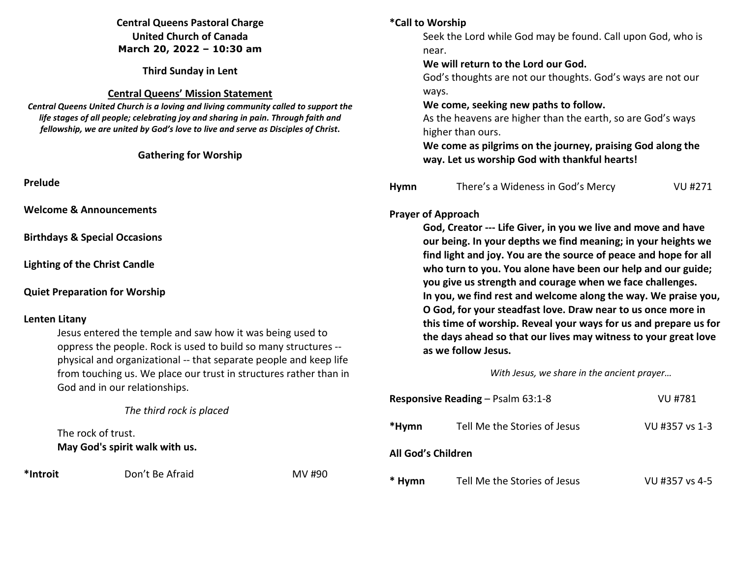# **Central Queens Pastoral Charge United Church of Canada March 20, 2022 – 10:30 am**

**Third Sunday in Lent** 

#### **Central Queens' Mission Statement**

 *Central Queens United Church is a loving and living community called to support the life stages of all people; celebrating joy and sharing in pain. Through faith and fellowship, we are united by God's love to live and serve as Disciples of Christ***.** 

## **Gathering for Worship**

**Prelude** 

**Welcome & Announcements** 

**Birthdays & Special Occasions** 

**Lighting of the Christ Candle** 

**Quiet Preparation for Worship** 

### **Lenten Litany**

 Jesus entered the temple and saw how it was being used to oppress the people. Rock is used to build so many structures - physical and organizational -- that separate people and keep life from touching us. We place our trust in structures rather than in God and in our relationships.

# *The third rock is placed*

 The rock of trust.  **May God's spirit walk with us.** 

**\*Introit** Don't Be Afraid MV #90

# **\*Call to Worship**

Seek the Lord while God may be found. Call upon God, who is near.

### **We will return to the Lord our God.**

 God's thoughts are not our thoughts. God's ways are not our ways.

### **We come, seeking new paths to follow.**

As the heavens are higher than the earth, so are God's ways higher than ours.

**We come as pilgrims on the journey, praising God along the way. Let us worship God with thankful hearts!** 

| Hymn | There's a Wideness in God's Mercy | VU #271 |
|------|-----------------------------------|---------|
|      |                                   |         |

# **Prayer of Approach**

 **God, Creator --- Life Giver, in you we live and move and have our being. In your depths we find meaning; in your heights we find light and joy. You are the source of peace and hope for all who turn to you. You alone have been our help and our guide; you give us strength and courage when we face challenges. In you, we find rest and welcome along the way. We praise you, O God, for your steadfast love. Draw near to us once more in this time of worship. Reveal your ways for us and prepare us for the days ahead so that our lives may witness to your great love as we follow Jesus.** 

*With Jesus, we share in the ancient prayer…* 

| <b>Responsive Reading – Psalm 63:1-8</b> |                              | VU #781        |  |  |
|------------------------------------------|------------------------------|----------------|--|--|
| *Hymn                                    | Tell Me the Stories of Jesus | VU #357 vs 1-3 |  |  |
| All God's Children                       |                              |                |  |  |
| * Hymn                                   | Tell Me the Stories of Jesus | VU #357 vs 4-5 |  |  |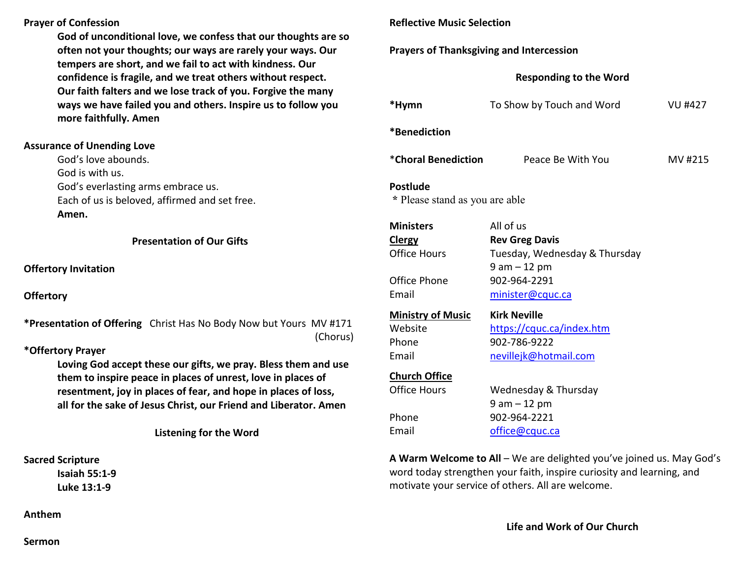# **Prayer of Confession**

**God of unconditional love, we confess that our thoughts are so often not your thoughts; our ways are rarely your ways. Our tempers are short, and we fail to act with kindness. Our confidence is fragile, and we treat others without respect. Our faith falters and we lose track of you. Forgive the many ways we have failed you and others. Inspire us to follow you more faithfully. Amen**

## **Assurance of Unending Love**

God's love abounds. God is with us. God's everlasting arms embrace us. Each of us is beloved, affirmed and set free. **Amen.**

**Presentation of Our Gifts**

**Offertory Invitation** 

**Offertory**

**\*Presentation of Offering** Christ Has No Body Now but Yours MV #171 (Chorus)

### **\*Offertory Prayer**

**Loving God accept these our gifts, we pray. Bless them and use them to inspire peace in places of unrest, love in places of resentment, joy in places of fear, and hope in places of loss, all for the sake of Jesus Christ, our Friend and Liberator. Amen** 

**Listening for the Word** 

**Sacred Scripture** 

 **Isaiah 55:1-9 Luke 13:1-9** 

**Anthem** 

### **Reflective Music Selection**

**Prayers of Thanksgiving and Intercession** 

### **Responding to the Word**

| *Hymn                                      | To Show by Touch and Word     | VU #427 |  |  |  |
|--------------------------------------------|-------------------------------|---------|--|--|--|
| *Benediction                               |                               |         |  |  |  |
| *Choral Benediction                        | Peace Be With You             | MV #215 |  |  |  |
| Postlude<br>* Please stand as you are able |                               |         |  |  |  |
| <b>Ministers</b>                           | All of us                     |         |  |  |  |
| <b>Clergy</b>                              | <b>Rev Greg Davis</b>         |         |  |  |  |
| <b>Office Hours</b>                        | Tuesday, Wednesday & Thursday |         |  |  |  |
|                                            | $9$ am $-12$ pm               |         |  |  |  |
| Office Phone                               | 902-964-2291                  |         |  |  |  |
| Email                                      | minister@cquc.ca              |         |  |  |  |
| <b>Ministry of Music</b>                   | <b>Kirk Neville</b>           |         |  |  |  |
| Website                                    | https://cquc.ca/index.htm     |         |  |  |  |
| Phone                                      | 902-786-9222                  |         |  |  |  |
| Email                                      | nevillejk@hotmail.com         |         |  |  |  |
| <b>Church Office</b>                       |                               |         |  |  |  |
| Office Hours                               | Wednesday & Thursday          |         |  |  |  |
|                                            | $9$ am $-12$ pm               |         |  |  |  |
| Phone                                      | 902-964-2221                  |         |  |  |  |
| Email                                      | office@cquc.ca                |         |  |  |  |
|                                            |                               |         |  |  |  |

**A Warm Welcome to All** – We are delighted you've joined us. May God's word today strengthen your faith, inspire curiosity and learning, and motivate your service of others. All are welcome.

**Sermon**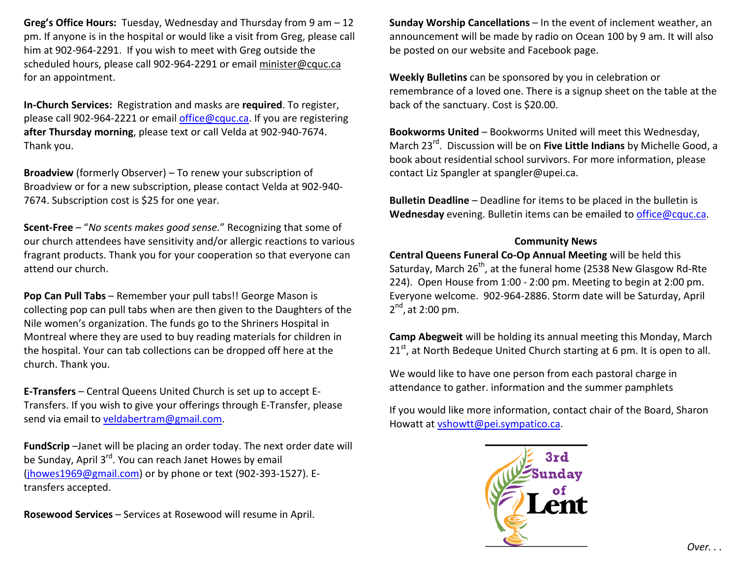**Greg's Office Hours:** Tuesday, Wednesday and Thursday from 9 am – 12 pm. If anyone is in the hospital or would like a visit from Greg, please call him at 902-964-2291. If you wish to meet with Greg outside the scheduled hours, please call 902-964-2291 or email minister@cquc.ca for an appointment.

**In-Church Services:** Registration and masks are **required**. To register, please call 902-964-2221 or email office@cquc.ca. If you are registering **after Thursday morning**, please text or call Velda at 902-940-7674. Thank you.

**Broadview** (formerly Observer) – To renew your subscription of Broadview or for a new subscription, please contact Velda at 902-940-7674. Subscription cost is \$25 for one year.

**Scent-Free** – "*No scents makes good sense.*" Recognizing that some of our church attendees have sensitivity and/or allergic reactions to various fragrant products. Thank you for your cooperation so that everyone can attend our church.

**Pop Can Pull Tabs** – Remember your pull tabs!! George Mason is collecting pop can pull tabs when are then given to the Daughters of the Nile women's organization. The funds go to the Shriners Hospital in Montreal where they are used to buy reading materials for children in the hospital. Your can tab collections can be dropped off here at the church. Thank you.

**E-Transfers** – Central Queens United Church is set up to accept E-Transfers. If you wish to give your offerings through E-Transfer, please send via email to veldabertram@gmail.com.

**FundScrip** –Janet will be placing an order today. The next order date will be Sunday, April 3<sup>rd</sup>. You can reach Janet Howes by email (jhowes1969@gmail.com) or by phone or text (902-393-1527). Etransfers accepted.

**Rosewood Services** – Services at Rosewood will resume in April.

**Sunday Worship Cancellations** – In the event of inclement weather, an announcement will be made by radio on Ocean 100 by 9 am. It will also be posted on our website and Facebook page.

**Weekly Bulletins** can be sponsored by you in celebration or remembrance of a loved one. There is a signup sheet on the table at the back of the sanctuary. Cost is \$20.00.

**Bookworms United** – Bookworms United will meet this Wednesday, March 23rd. Discussion will be on **Five Little Indians** by Michelle Good, a book about residential school survivors. For more information, please contact Liz Spangler at spangler@upei.ca.

**Bulletin Deadline** – Deadline for items to be placed in the bulletin is **Wednesday** evening. Bulletin items can be emailed to office@cquc.ca.

## **Community News**

 **Central Queens Funeral Co-Op Annual Meeting** will be held this Saturday, March 26<sup>th</sup>, at the funeral home (2538 New Glasgow Rd-Rte 224). Open House from 1:00 - 2:00 pm. Meeting to begin at 2:00 pm. Everyone welcome. 902-964-2886. Storm date will be Saturday, April 2<sup>nd</sup>, at 2:00 pm.

**Camp Abegweit** will be holding its annual meeting this Monday, March  $21<sup>st</sup>$ , at North Bedeque United Church starting at 6 pm. It is open to all.

We would like to have one person from each pastoral charge in attendance to gather. information and the summer pamphlets

If you would like more information, contact chair of the Board, Sharon Howatt at vshowtt@pei.sympatico.ca.